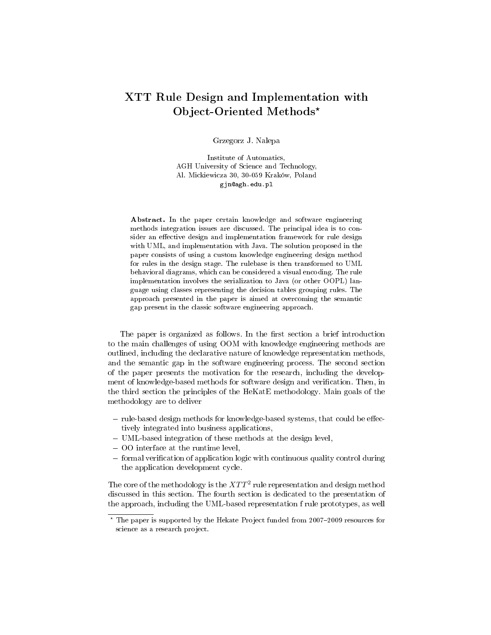## XTT Rule Design and Implementation with Object-Oriented Methods\*

Grzegorz J. Nalepa

Institute of Automatics, AGH University of Science and Technology, Al. Mickiewicza 30, 30-059 Kraków, Poland gjn@agh.edu.pl

Abstract. In the paper certain knowledge and software engineering methods integration issues are discussed. The principal idea is to consider an effective design and implementation framework for rule design with UML, and implementation with Java. The solution proposed in the paper consists of using a custom knowledge engineering design method for rules in the design stage. The rulebase is then transformed to UML behavioral diagrams, which can be considered a visual encoding. The rule implementation involves the serialization to Java (or other OOPL) language using classes representing the decision tables grouping rules. The approach presented in the paper is aimed at overcoming the semantic gap present in the classic software engineering approach.

The paper is organized as follows. In the first section a brief introduction to the main challenges of using OOM with knowledge engineering methods are outlined, including the declarative nature of knowledge representation methods, and the semantic gap in the software engineering process. The second section of the paper presents the motivation for the research, including the development of knowledge-based methods for software design and verification. Then, in the third section the principles of the HeKatE methodology. Main goals of the methodology are to deliver

- $-$  rule-based design methods for knowledge-based systems, that could be effectively integrated into business applications,
- UML-based integration of these methods at the design level,
- OO interface at the runtime level,
- $f$  formal verification of application logic with continuous quality control during the application development cycle.

The core of the methodology is the  $XTT^2$  rule representation and design method discussed in this section. The fourth section is dedicated to the presentation of the approach, including the UML-based representation f rule prototypes, as well

 $*$  The paper is supported by the Hekate Project funded from 2007-2009 resources for science as a research project.